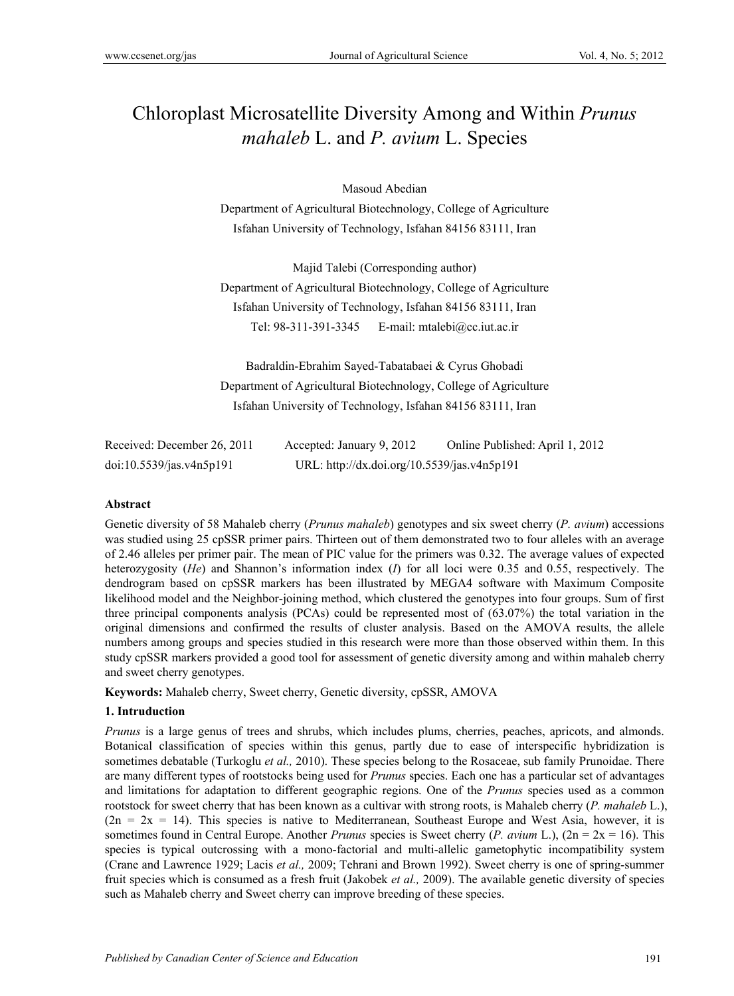# Chloroplast Microsatellite Diversity Among and Within *Prunus mahaleb* L. and *P. avium* L. Species

Masoud Abedian

Department of Agricultural Biotechnology, College of Agriculture Isfahan University of Technology, Isfahan 84156 83111, Iran

Majid Talebi (Corresponding author)

Department of Agricultural Biotechnology, College of Agriculture Isfahan University of Technology, Isfahan 84156 83111, Iran Tel: 98-311-391-3345 E-mail: mtalebi@cc.iut.ac.ir

Badraldin-Ebrahim Sayed-Tabatabaei & Cyrus Ghobadi Department of Agricultural Biotechnology, College of Agriculture Isfahan University of Technology, Isfahan 84156 83111, Iran

| Received: December 26, 2011 | Accepted: January 9, 2012                   | Online Published: April 1, 2012 |
|-----------------------------|---------------------------------------------|---------------------------------|
| doi:10.5539/jas.v4n5p191    | URL: http://dx.doi.org/10.5539/jas.v4n5p191 |                                 |

## **Abstract**

Genetic diversity of 58 Mahaleb cherry (*Prunus mahaleb*) genotypes and six sweet cherry (*P. avium*) accessions was studied using 25 cpSSR primer pairs. Thirteen out of them demonstrated two to four alleles with an average of 2.46 alleles per primer pair. The mean of PIC value for the primers was 0.32. The average values of expected heterozygosity (*He*) and Shannon's information index (*I*) for all loci were 0.35 and 0.55, respectively. The dendrogram based on cpSSR markers has been illustrated by MEGA4 software with Maximum Composite likelihood model and the Neighbor-joining method, which clustered the genotypes into four groups. Sum of first three principal components analysis (PCAs) could be represented most of (63.07%) the total variation in the original dimensions and confirmed the results of cluster analysis. Based on the AMOVA results, the allele numbers among groups and species studied in this research were more than those observed within them. In this study cpSSR markers provided a good tool for assessment of genetic diversity among and within mahaleb cherry and sweet cherry genotypes.

**Keywords:** Mahaleb cherry, Sweet cherry, Genetic diversity, cpSSR, AMOVA

# **1. Intruduction**

*Prunus* is a large genus of trees and shrubs, which includes plums, cherries, peaches, apricots, and almonds. Botanical classification of species within this genus, partly due to ease of interspecific hybridization is sometimes debatable (Turkoglu *et al.,* 2010). These species belong to the Rosaceae, sub family Prunoidae. There are many different types of rootstocks being used for *Prunus* species. Each one has a particular set of advantages and limitations for adaptation to different geographic regions. One of the *Prunus* species used as a common rootstock for sweet cherry that has been known as a cultivar with strong roots, is Mahaleb cherry (*P. mahaleb* L.),  $(2n = 2x = 14)$ . This species is native to Mediterranean, Southeast Europe and West Asia, however, it is sometimes found in Central Europe. Another *Prunus* species is Sweet cherry (*P. avium* L.), (2n = 2x = 16). This species is typical outcrossing with a mono-factorial and multi-allelic gametophytic incompatibility system (Crane and Lawrence 1929; Lacis *et al.,* 2009; Tehrani and Brown 1992). Sweet cherry is one of spring-summer fruit species which is consumed as a fresh fruit (Jakobek *et al.,* 2009). The available genetic diversity of species such as Mahaleb cherry and Sweet cherry can improve breeding of these species.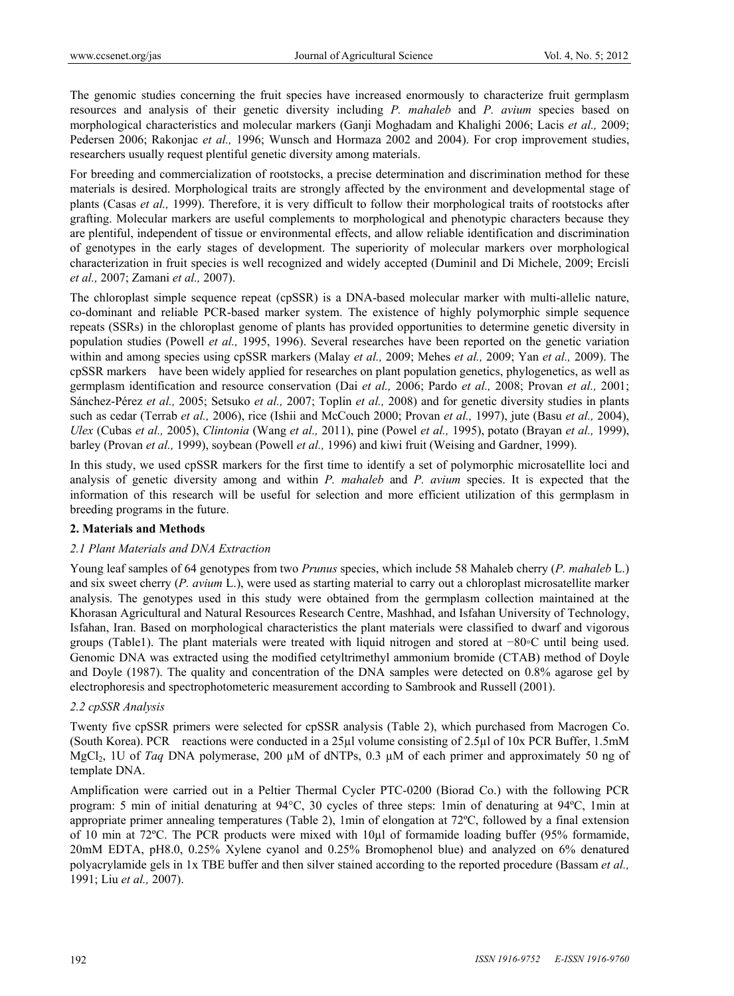The genomic studies concerning the fruit species have increased enormously to characterize fruit germplasm resources and analysis of their genetic diversity including *P. mahaleb* and *P. avium* species based on morphological characteristics and molecular markers (Ganji Moghadam and Khalighi 2006; Lacis *et al.,* 2009; Pedersen 2006; Rakonjac *et al.,* 1996; Wunsch and Hormaza 2002 and 2004). For crop improvement studies, researchers usually request plentiful genetic diversity among materials.

For breeding and commercialization of rootstocks, a precise determination and discrimination method for these materials is desired. Morphological traits are strongly affected by the environment and developmental stage of plants (Casas *et al.,* 1999). Therefore, it is very difficult to follow their morphological traits of rootstocks after grafting. Molecular markers are useful complements to morphological and phenotypic characters because they are plentiful, independent of tissue or environmental effects, and allow reliable identification and discrimination of genotypes in the early stages of development. The superiority of molecular markers over morphological characterization in fruit species is well recognized and widely accepted (Duminil and Di Michele, 2009; Ercisli *et al.,* 2007; Zamani *et al.,* 2007).

The chloroplast simple sequence repeat (cpSSR) is a DNA-based molecular marker with multi-allelic nature, co-dominant and reliable PCR-based marker system. The existence of highly polymorphic simple sequence repeats (SSRs) in the chloroplast genome of plants has provided opportunities to determine genetic diversity in population studies (Powell *et al.,* 1995, 1996). Several researches have been reported on the genetic variation within and among species using cpSSR markers (Malay *et al.,* 2009; Mehes *et al.,* 2009; Yan *et al.,* 2009). The cpSSR markers have been widely applied for researches on plant population genetics, phylogenetics, as well as germplasm identification and resource conservation (Dai *et al.,* 2006; Pardo *et al.,* 2008; Provan *et al.,* 2001; Sánchez-Pérez *et al.,* 2005; Setsuko *et al.,* 2007; Toplin *et al.,* 2008) and for genetic diversity studies in plants such as cedar (Terrab *et al.,* 2006), rice (Ishii and McCouch 2000; Provan *et al.,* 1997), jute (Basu *et al.,* 2004), *Ulex* (Cubas *et al.,* 2005), *Clintonia* (Wang *et al.,* 2011), pine (Powel *et al.,* 1995), potato (Brayan *et al.,* 1999), barley (Provan *et al.,* 1999), soybean (Powell *et al.,* 1996) and kiwi fruit (Weising and Gardner, 1999).

In this study, we used cpSSR markers for the first time to identify a set of polymorphic microsatellite loci and analysis of genetic diversity among and within *P. mahaleb* and *P. avium* species. It is expected that the information of this research will be useful for selection and more efficient utilization of this germplasm in breeding programs in the future.

#### **2. Materials and Methods**

#### *2.1 Plant Materials and DNA Extraction*

Young leaf samples of 64 genotypes from two *Prunus* species, which include 58 Mahaleb cherry (*P. mahaleb* L.) and six sweet cherry (*P. avium* L.), were used as starting material to carry out a chloroplast microsatellite marker analysis. The genotypes used in this study were obtained from the germplasm collection maintained at the Khorasan Agricultural and Natural Resources Research Centre, Mashhad, and Isfahan University of Technology, Isfahan, Iran. Based on morphological characteristics the plant materials were classified to dwarf and vigorous groups (Table1). The plant materials were treated with liquid nitrogen and stored at −80◦C until being used. Genomic DNA was extracted using the modified cetyltrimethyl ammonium bromide (CTAB) method of Doyle and Doyle (1987). The quality and concentration of the DNA samples were detected on 0.8% agarose gel by electrophoresis and spectrophotometeric measurement according to Sambrook and Russell (2001).

#### *2.2 cpSSR Analysis*

Twenty five cpSSR primers were selected for cpSSR analysis (Table 2), which purchased from Macrogen Co. (South Korea). PCR reactions were conducted in a 25µl volume consisting of 2.5µl of 10x PCR Buffer, 1.5mM MgCl2, 1U of *Taq* DNA polymerase, 200 µM of dNTPs, 0.3 µM of each primer and approximately 50 ng of template DNA.

Amplification were carried out in a Peltier Thermal Cycler PTC-0200 (Biorad Co.) with the following PCR program: 5 min of initial denaturing at 94°C, 30 cycles of three steps: 1min of denaturing at 94ºC, 1min at appropriate primer annealing temperatures (Table 2), 1min of elongation at 72ºC, followed by a final extension of 10 min at 72ºC. The PCR products were mixed with 10µl of formamide loading buffer (95% formamide, 20mM EDTA, pH8.0, 0.25% Xylene cyanol and 0.25% Bromophenol blue) and analyzed on 6% denatured polyacrylamide gels in 1x TBE buffer and then silver stained according to the reported procedure (Bassam *et al.,* 1991; Liu *et al.,* 2007).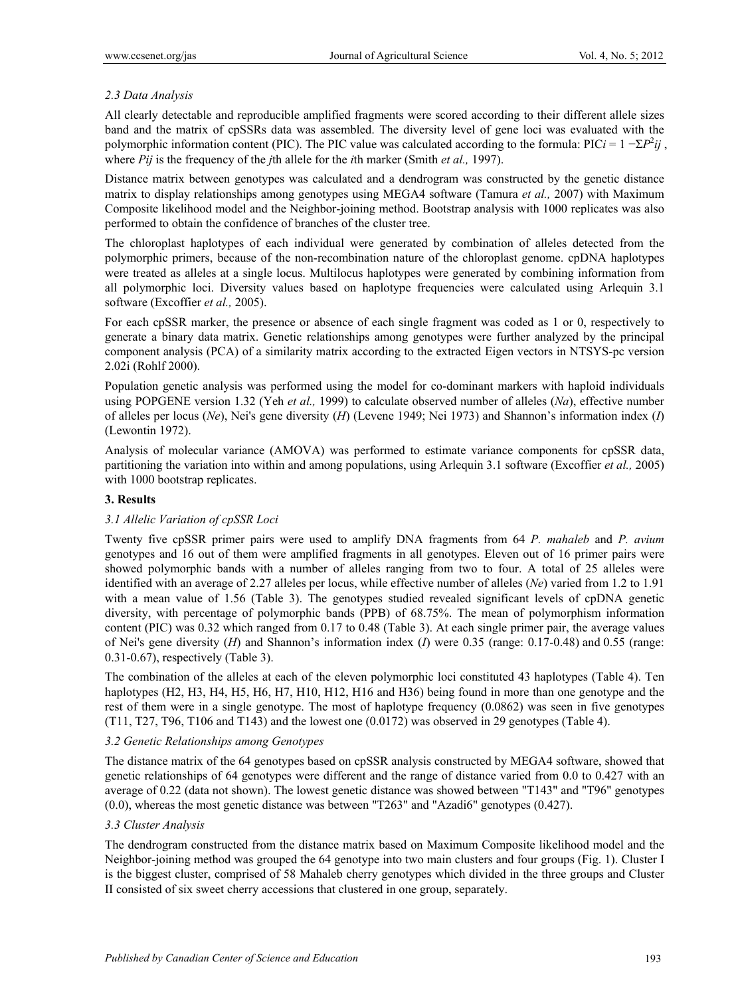## *2.3 Data Analysis*

All clearly detectable and reproducible amplified fragments were scored according to their different allele sizes band and the matrix of cpSSRs data was assembled. The diversity level of gene loci was evaluated with the polymorphic information content (PIC). The PIC value was calculated according to the formula: PIC*i* =  $1 - \Sigma P^2 i j$ , where *Pij* is the frequency of the *j*th allele for the *i*th marker (Smith *et al.,* 1997).

Distance matrix between genotypes was calculated and a dendrogram was constructed by the genetic distance matrix to display relationships among genotypes using MEGA4 software (Tamura *et al.,* 2007) with Maximum Composite likelihood model and the Neighbor-joining method. Bootstrap analysis with 1000 replicates was also performed to obtain the confidence of branches of the cluster tree.

The chloroplast haplotypes of each individual were generated by combination of alleles detected from the polymorphic primers, because of the non-recombination nature of the chloroplast genome. cpDNA haplotypes were treated as alleles at a single locus. Multilocus haplotypes were generated by combining information from all polymorphic loci. Diversity values based on haplotype frequencies were calculated using Arlequin 3.1 software (Excoffier *et al.,* 2005).

For each cpSSR marker, the presence or absence of each single fragment was coded as 1 or 0, respectively to generate a binary data matrix. Genetic relationships among genotypes were further analyzed by the principal component analysis (PCA) of a similarity matrix according to the extracted Eigen vectors in NTSYS-pc version 2.02i (Rohlf 2000).

Population genetic analysis was performed using the model for co-dominant markers with haploid individuals using POPGENE version 1.32 (Yeh *et al.,* 1999) to calculate observed number of alleles (*Na*), effective number of alleles per locus (*Ne*), Nei's gene diversity (*H*) (Levene 1949; Nei 1973) and Shannon's information index (*I*) (Lewontin 1972).

Analysis of molecular variance (AMOVA) was performed to estimate variance components for cpSSR data, partitioning the variation into within and among populations, using Arlequin 3.1 software (Excoffier *et al.,* 2005) with 1000 bootstrap replicates.

## **3. Results**

#### *3.1 Allelic Variation of cpSSR Loci*

Twenty five cpSSR primer pairs were used to amplify DNA fragments from 64 *P. mahaleb* and *P. avium* genotypes and 16 out of them were amplified fragments in all genotypes. Eleven out of 16 primer pairs were showed polymorphic bands with a number of alleles ranging from two to four. A total of 25 alleles were identified with an average of 2.27 alleles per locus, while effective number of alleles (*Ne*) varied from 1.2 to 1.91 with a mean value of 1.56 (Table 3). The genotypes studied revealed significant levels of cpDNA genetic diversity, with percentage of polymorphic bands (PPB) of 68.75%. The mean of polymorphism information content (PIC) was 0.32 which ranged from 0.17 to 0.48 (Table 3). At each single primer pair, the average values of Nei's gene diversity (*H*) and Shannon's information index (*I*) were 0.35 (range: 0.17-0.48) and 0.55 (range: 0.31-0.67), respectively (Table 3).

The combination of the alleles at each of the eleven polymorphic loci constituted 43 haplotypes (Table 4). Ten haplotypes (H2, H3, H4, H5, H6, H7, H10, H12, H16 and H36) being found in more than one genotype and the rest of them were in a single genotype. The most of haplotype frequency (0.0862) was seen in five genotypes (T11, T27, T96, T106 and T143) and the lowest one (0.0172) was observed in 29 genotypes (Table 4).

#### *3.2 Genetic Relationships among Genotypes*

The distance matrix of the 64 genotypes based on cpSSR analysis constructed by MEGA4 software, showed that genetic relationships of 64 genotypes were different and the range of distance varied from 0.0 to 0.427 with an average of 0.22 (data not shown). The lowest genetic distance was showed between "T143" and "T96" genotypes (0.0), whereas the most genetic distance was between "T263" and "Azadi6" genotypes (0.427).

#### *3.3 Cluster Analysis*

The dendrogram constructed from the distance matrix based on Maximum Composite likelihood model and the Neighbor-joining method was grouped the 64 genotype into two main clusters and four groups (Fig. 1). Cluster I is the biggest cluster, comprised of 58 Mahaleb cherry genotypes which divided in the three groups and Cluster II consisted of six sweet cherry accessions that clustered in one group, separately.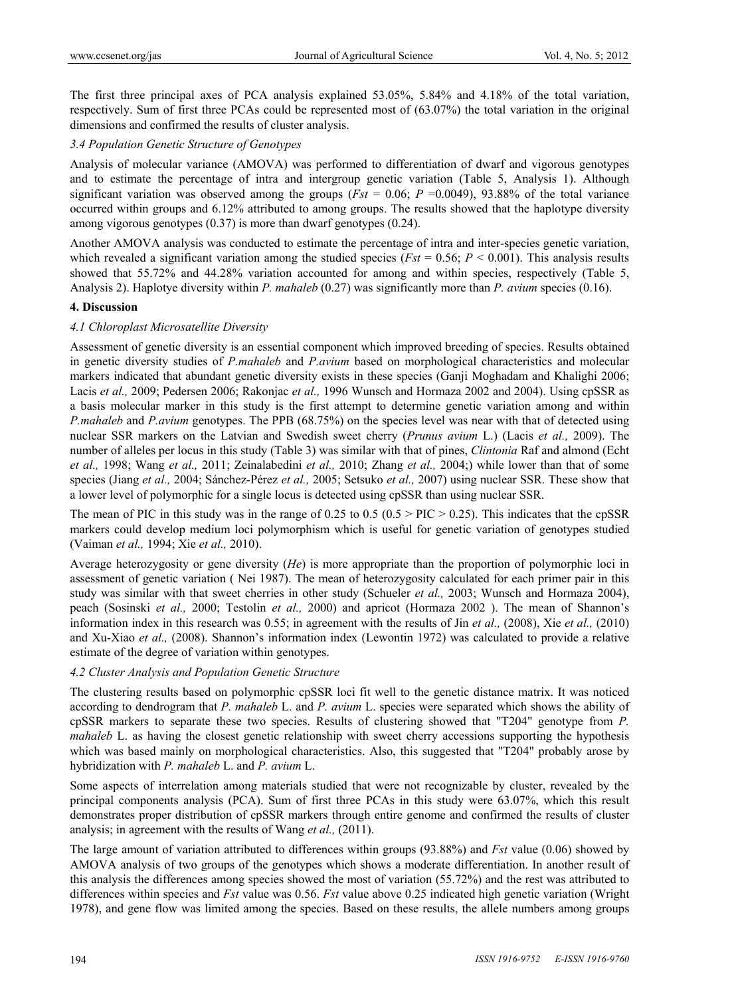The first three principal axes of PCA analysis explained 53.05%, 5.84% and 4.18% of the total variation, respectively. Sum of first three PCAs could be represented most of (63.07%) the total variation in the original dimensions and confirmed the results of cluster analysis.

## *3.4 Population Genetic Structure of Genotypes*

Analysis of molecular variance (AMOVA) was performed to differentiation of dwarf and vigorous genotypes and to estimate the percentage of intra and intergroup genetic variation (Table 5, Analysis 1). Although significant variation was observed among the groups ( $Fst = 0.06$ ;  $P = 0.0049$ ), 93.88% of the total variance occurred within groups and 6.12% attributed to among groups. The results showed that the haplotype diversity among vigorous genotypes (0.37) is more than dwarf genotypes (0.24).

Another AMOVA analysis was conducted to estimate the percentage of intra and inter-species genetic variation, which revealed a significant variation among the studied species ( $Fst = 0.56$ ;  $P \le 0.001$ ). This analysis results showed that 55.72% and 44.28% variation accounted for among and within species, respectively (Table 5, Analysis 2). Haplotye diversity within *P. mahaleb* (0.27) was significantly more than *P. avium* species (0.16).

#### **4. Discussion**

## *4.1 Chloroplast Microsatellite Diversity*

Assessment of genetic diversity is an essential component which improved breeding of species. Results obtained in genetic diversity studies of *P.mahaleb* and *P.avium* based on morphological characteristics and molecular markers indicated that abundant genetic diversity exists in these species (Ganji Moghadam and Khalighi 2006; Lacis *et al.,* 2009; Pedersen 2006; Rakonjac *et al.,* 1996 Wunsch and Hormaza 2002 and 2004). Using cpSSR as a basis molecular marker in this study is the first attempt to determine genetic variation among and within *P.mahaleb* and *P.avium* genotypes. The PPB (68.75%) on the species level was near with that of detected using nuclear SSR markers on the Latvian and Swedish sweet cherry (*Prunus avium* L.) (Lacis *et al.,* 2009). The number of alleles per locus in this study (Table 3) was similar with that of pines, *Clintonia* Raf and almond (Echt *et al.,* 1998; Wang *et al.,* 2011; Zeinalabedini *et al.,* 2010; Zhang *et al.,* 2004;) while lower than that of some species (Jiang *et al.,* 2004; Sánchez-Pérez *et al.,* 2005; Setsuko *et al.,* 2007) using nuclear SSR. These show that a lower level of polymorphic for a single locus is detected using cpSSR than using nuclear SSR.

The mean of PIC in this study was in the range of 0.25 to 0.5 (0.5 > PIC > 0.25). This indicates that the cpSSR markers could develop medium loci polymorphism which is useful for genetic variation of genotypes studied (Vaiman *et al.,* 1994; Xie *et al.,* 2010).

Average heterozygosity or gene diversity (*He*) is more appropriate than the proportion of polymorphic loci in assessment of genetic variation ( Nei 1987). The mean of heterozygosity calculated for each primer pair in this study was similar with that sweet cherries in other study (Schueler *et al.,* 2003; Wunsch and Hormaza 2004), peach (Sosinski *et al.,* 2000; Testolin *et al.,* 2000) and apricot (Hormaza 2002 ). The mean of Shannon's information index in this research was 0.55; in agreement with the results of Jin *et al.,* (2008), Xie *et al.,* (2010) and Xu-Xiao *et al.,* (2008). Shannon's information index (Lewontin 1972) was calculated to provide a relative estimate of the degree of variation within genotypes.

#### *4.2 Cluster Analysis and Population Genetic Structure*

The clustering results based on polymorphic cpSSR loci fit well to the genetic distance matrix. It was noticed according to dendrogram that *P. mahaleb* L. and *P. avium* L. species were separated which shows the ability of cpSSR markers to separate these two species. Results of clustering showed that "T204" genotype from *P. mahaleb* L. as having the closest genetic relationship with sweet cherry accessions supporting the hypothesis which was based mainly on morphological characteristics. Also, this suggested that "T204" probably arose by hybridization with *P. mahaleb* L. and *P. avium* L.

Some aspects of interrelation among materials studied that were not recognizable by cluster, revealed by the principal components analysis (PCA). Sum of first three PCAs in this study were 63.07%, which this result demonstrates proper distribution of cpSSR markers through entire genome and confirmed the results of cluster analysis; in agreement with the results of Wang *et al.,* (2011).

The large amount of variation attributed to differences within groups (93.88%) and *Fst* value (0.06) showed by AMOVA analysis of two groups of the genotypes which shows a moderate differentiation. In another result of this analysis the differences among species showed the most of variation (55.72%) and the rest was attributed to differences within species and *Fst* value was 0.56. *Fst* value above 0.25 indicated high genetic variation (Wright 1978), and gene flow was limited among the species. Based on these results, the allele numbers among groups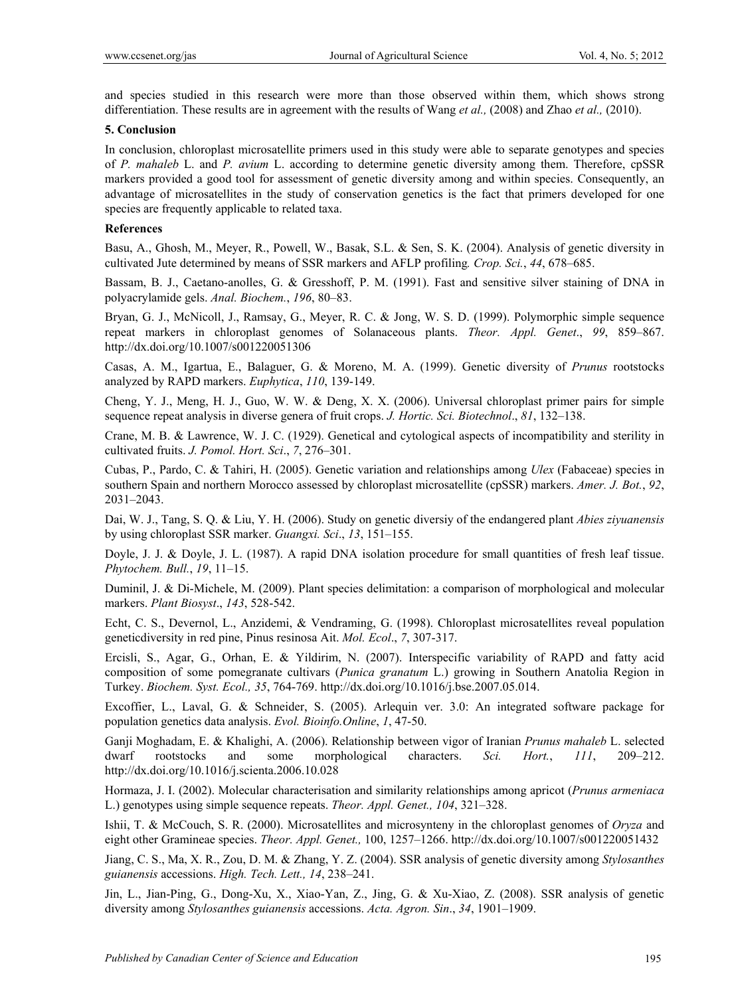and species studied in this research were more than those observed within them, which shows strong differentiation. These results are in agreement with the results of Wang *et al.,* (2008) and Zhao *et al.,* (2010).

#### **5. Conclusion**

In conclusion, chloroplast microsatellite primers used in this study were able to separate genotypes and species of *P. mahaleb* L. and *P. avium* L. according to determine genetic diversity among them. Therefore, cpSSR markers provided a good tool for assessment of genetic diversity among and within species. Consequently, an advantage of microsatellites in the study of conservation genetics is the fact that primers developed for one species are frequently applicable to related taxa.

#### **References**

Basu, A., Ghosh, M., Meyer, R., Powell, W., Basak, S.L. & Sen, S. K. (2004). Analysis of genetic diversity in cultivated Jute determined by means of SSR markers and AFLP profiling*. Crop. Sci.*, *44*, 678–685.

Bassam, B. J., Caetano-anolles, G. & Gresshoff, P. M. (1991). Fast and sensitive silver staining of DNA in polyacrylamide gels. *Anal. Biochem.*, *196*, 80–83.

Bryan, G. J., McNicoll, J., Ramsay, G., Meyer, R. C. & Jong, W. S. D. (1999). Polymorphic simple sequence repeat markers in chloroplast genomes of Solanaceous plants. *Theor. Appl. Genet*., *99*, 859–867. http://dx.doi.org/10.1007/s001220051306

Casas, A. M., Igartua, E., Balaguer, G. & Moreno, M. A. (1999). Genetic diversity of *Prunus* rootstocks analyzed by RAPD markers. *Euphytica*, *110*, 139-149.

Cheng, Y. J., Meng, H. J., Guo, W. W. & Deng, X. X. (2006). Universal chloroplast primer pairs for simple sequence repeat analysis in diverse genera of fruit crops. *J. Hortic. Sci. Biotechnol*., *81*, 132–138.

Crane, M. B. & Lawrence, W. J. C. (1929). Genetical and cytological aspects of incompatibility and sterility in cultivated fruits. *J. Pomol. Hort. Sci*., *7*, 276–301.

Cubas, P., Pardo, C. & Tahiri, H. (2005). Genetic variation and relationships among *Ulex* (Fabaceae) species in southern Spain and northern Morocco assessed by chloroplast microsatellite (cpSSR) markers. *Amer. J. Bot.*, *92*, 2031–2043.

Dai, W. J., Tang, S. Q. & Liu, Y. H. (2006). Study on genetic diversiy of the endangered plant *Abies ziyuanensis* by using chloroplast SSR marker. *Guangxi. Sci*., *13*, 151–155.

Doyle, J. J. & Doyle, J. L. (1987). A rapid DNA isolation procedure for small quantities of fresh leaf tissue. *Phytochem. Bull.*, *19*, 11–15.

Duminil, J. & Di-Michele, M. (2009). Plant species delimitation: a comparison of morphological and molecular markers. *Plant Biosyst*., *143*, 528-542.

Echt, C. S., Devernol, L., Anzidemi, & Vendraming, G. (1998). Chloroplast microsatellites reveal population geneticdiversity in red pine, Pinus resinosa Ait. *Mol. Ecol*., *7*, 307-317.

Ercisli, S., Agar, G., Orhan, E. & Yildirim, N. (2007). Interspecific variability of RAPD and fatty acid composition of some pomegranate cultivars (*Punica granatum* L.) growing in Southern Anatolia Region in Turkey. *Biochem. Syst. Ecol., 35*, 764-769. http://dx.doi.org/10.1016/j.bse.2007.05.014.

Excoffier, L., Laval, G. & Schneider, S. (2005). Arlequin ver. 3.0: An integrated software package for population genetics data analysis. *Evol. Bioinfo.Online*, *1*, 47-50.

Ganji Moghadam, E. & Khalighi, A. (2006). Relationship between vigor of Iranian *Prunus mahaleb* L. selected dwarf rootstocks and some morphological characters. *Sci. Hort.*, *111*, 209–212. http://dx.doi.org/10.1016/j.scienta.2006.10.028

Hormaza, J. I. (2002). Molecular characterisation and similarity relationships among apricot (*Prunus armeniaca* L.) genotypes using simple sequence repeats. *Theor. Appl. Genet., 104*, 321–328.

Ishii, T. & McCouch, S. R. (2000). Microsatellites and microsynteny in the chloroplast genomes of *Oryza* and eight other Gramineae species. *Theor. Appl. Genet.,* 100, 1257–1266. http://dx.doi.org/10.1007/s001220051432

Jiang, C. S., Ma, X. R., Zou, D. M. & Zhang, Y. Z. (2004). SSR analysis of genetic diversity among *Stylosanthes guianensis* accessions. *High. Tech. Lett., 14*, 238–241.

Jin, L., Jian-Ping, G., Dong-Xu, X., Xiao-Yan, Z., Jing, G. & Xu-Xiao, Z. (2008). SSR analysis of genetic diversity among *Stylosanthes guianensis* accessions. *Acta. Agron. Sin*., *34*, 1901–1909.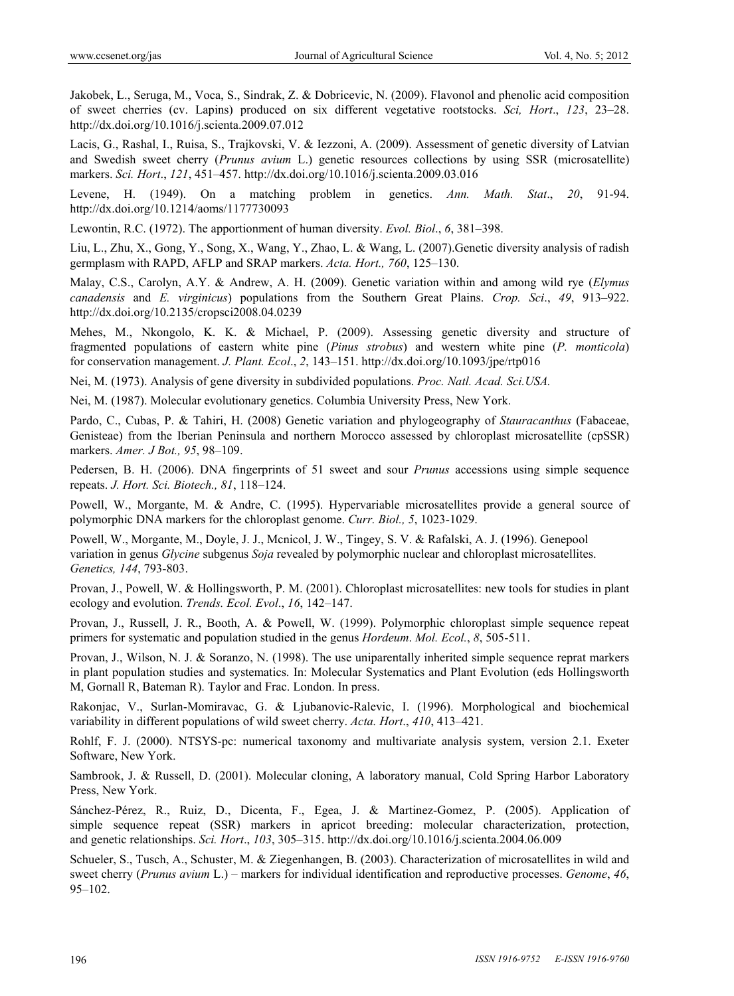Jakobek, L., Seruga, M., Voca, S., Sindrak, Z. & Dobricevic, N. (2009). Flavonol and phenolic acid composition of sweet cherries (cv. Lapins) produced on six different vegetative rootstocks. *Sci, Hort*., *123*, 23–28. http://dx.doi.org/10.1016/j.scienta.2009.07.012

Lacis, G., Rashal, I., Ruisa, S., Trajkovski, V. & Iezzoni, A. (2009). Assessment of genetic diversity of Latvian and Swedish sweet cherry (*Prunus avium* L.) genetic resources collections by using SSR (microsatellite) markers. *Sci. Hort*., *121*, 451–457. http://dx.doi.org/10.1016/j.scienta.2009.03.016

Levene, H. (1949). On a matching problem in genetics. *Ann. Math. Stat*., *20*, 91-94. http://dx.doi.org/10.1214/aoms/1177730093

Lewontin, R.C. (1972). The apportionment of human diversity. *Evol. Biol*., *6*, 381–398.

Liu, L., Zhu, X., Gong, Y., Song, X., Wang, Y., Zhao, L. & Wang, L. (2007).Genetic diversity analysis of radish germplasm with RAPD, AFLP and SRAP markers. *Acta. Hort., 760*, 125–130.

Malay, C.S., Carolyn, A.Y. & Andrew, A. H. (2009). Genetic variation within and among wild rye (*Elymus canadensis* and *E. virginicus*) populations from the Southern Great Plains. *Crop. Sci*., *49*, 913–922. http://dx.doi.org/10.2135/cropsci2008.04.0239

Mehes, M., Nkongolo, K. K. & Michael, P. (2009). Assessing genetic diversity and structure of fragmented populations of eastern white pine (*Pinus strobus*) and western white pine (*P. monticola*) for conservation management. *J. Plant. Ecol*., *2*, 143–151. http://dx.doi.org/10.1093/jpe/rtp016

Nei, M. (1973). Analysis of gene diversity in subdivided populations. *Proc. Natl. Acad. Sci.USA.* 

Nei, M. (1987). Molecular evolutionary genetics. Columbia University Press, New York.

Pardo, C., Cubas, P. & Tahiri, H. (2008) Genetic variation and phylogeography of *Stauracanthus* (Fabaceae, Genisteae) from the Iberian Peninsula and northern Morocco assessed by chloroplast microsatellite (cpSSR) markers. *Amer. J Bot., 95*, 98–109.

Pedersen, B. H. (2006). DNA fingerprints of 51 sweet and sour *Prunus* accessions using simple sequence repeats. *J. Hort. Sci. Biotech., 81*, 118–124.

Powell, W., Morgante, M. & Andre, C. (1995). Hypervariable microsatellites provide a general source of polymorphic DNA markers for the chloroplast genome. *Curr. Biol., 5*, 1023-1029.

Powell, W., Morgante, M., Doyle, J. J., Mcnicol, J. W., Tingey, S. V. & Rafalski, A. J. (1996). Genepool variation in genus *Glycine* subgenus *Soja* revealed by polymorphic nuclear and chloroplast microsatellites. *Genetics, 144*, 793-803.

Provan, J., Powell, W. & Hollingsworth, P. M. (2001). Chloroplast microsatellites: new tools for studies in plant ecology and evolution. *Trends. Ecol. Evol*., *16*, 142–147.

Provan, J., Russell, J. R., Booth, A. & Powell, W. (1999). Polymorphic chloroplast simple sequence repeat primers for systematic and population studied in the genus *Hordeum*. *Mol. Ecol.*, *8*, 505-511.

Provan, J., Wilson, N. J. & Soranzo, N. (1998). The use uniparentally inherited simple sequence reprat markers in plant population studies and systematics. In: Molecular Systematics and Plant Evolution (eds Hollingsworth M, Gornall R, Bateman R). Taylor and Frac. London. In press.

Rakonjac, V., Surlan-Momiravac, G. & Ljubanovic-Ralevic, I. (1996). Morphological and biochemical variability in different populations of wild sweet cherry. *Acta. Hort*., *410*, 413–421.

Rohlf, F. J. (2000). NTSYS-pc: numerical taxonomy and multivariate analysis system, version 2.1. Exeter Software, New York.

Sambrook, J. & Russell, D. (2001). Molecular cloning, A laboratory manual, Cold Spring Harbor Laboratory Press, New York.

Sánchez-Pérez, R., Ruiz, D., Dicenta, F., Egea, J. & Martinez-Gomez, P. (2005). Application of simple sequence repeat (SSR) markers in apricot breeding: molecular characterization, protection, and genetic relationships. *Sci. Hort*., *103*, 305–315. http://dx.doi.org/10.1016/j.scienta.2004.06.009

Schueler, S., Tusch, A., Schuster, M. & Ziegenhangen, B. (2003). Characterization of microsatellites in wild and sweet cherry (*Prunus avium* L.) – markers for individual identification and reproductive processes. *Genome*, *46*, 95–102.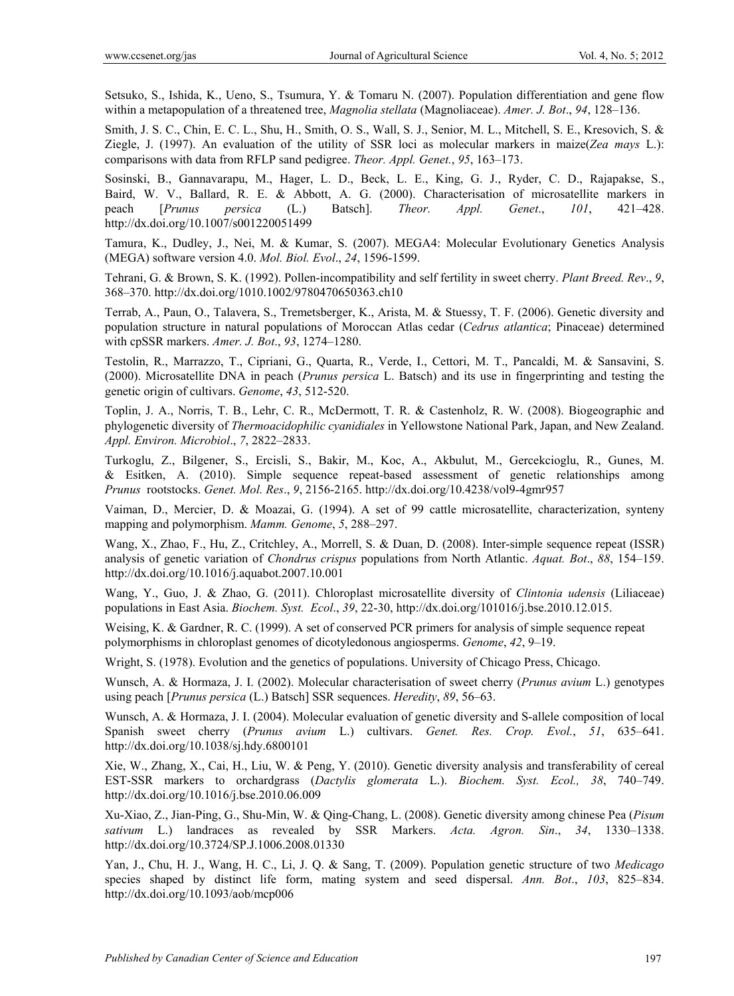Setsuko, S., Ishida, K., Ueno, S., Tsumura, Y. & Tomaru N. (2007). Population differentiation and gene flow within a metapopulation of a threatened tree, *Magnolia stellata* (Magnoliaceae). *Amer. J. Bot*., *94*, 128–136.

Smith, J. S. C., Chin, E. C. L., Shu, H., Smith, O. S., Wall, S. J., Senior, M. L., Mitchell, S. E., Kresovich, S. & Ziegle, J. (1997). An evaluation of the utility of SSR loci as molecular markers in maize(*Zea mays* L.): comparisons with data from RFLP sand pedigree. *Theor. Appl. Genet.*, *95*, 163–173.

Sosinski, B., Gannavarapu, M., Hager, L. D., Beck, L. E., King, G. J., Ryder, C. D., Rajapakse, S., Baird, W. V., Ballard, R. E. & Abbott, A. G. (2000). Characterisation of microsatellite markers in peach [*Prunus persica* (L.) Batsch]. *Theor. Appl. Genet*., *101*, 421–428. http://dx.doi.org/10.1007/s001220051499

Tamura, K., Dudley, J., Nei, M. & Kumar, S. (2007). MEGA4: Molecular Evolutionary Genetics Analysis (MEGA) software version 4.0. *Mol. Biol. Evol*., *24*, 1596-1599.

Tehrani, G. & Brown, S. K. (1992). Pollen-incompatibility and self fertility in sweet cherry. *Plant Breed. Rev*., *9*, 368–370. http://dx.doi.org/1010.1002/9780470650363.ch10

Terrab, A., Paun, O., Talavera, S., Tremetsberger, K., Arista, M. & Stuessy, T. F. (2006). Genetic diversity and population structure in natural populations of Moroccan Atlas cedar (*Cedrus atlantica*; Pinaceae) determined with cpSSR markers. *Amer. J. Bot*., *93*, 1274–1280.

Testolin, R., Marrazzo, T., Cipriani, G., Quarta, R., Verde, I., Cettori, M. T., Pancaldi, M. & Sansavini, S. (2000). Microsatellite DNA in peach (*Prunus persica* L. Batsch) and its use in fingerprinting and testing the genetic origin of cultivars. *Genome*, *43*, 512-520.

Toplin, J. A., Norris, T. B., Lehr, C. R., McDermott, T. R. & Castenholz, R. W. (2008). Biogeographic and phylogenetic diversity of *Thermoacidophilic cyanidiales* in Yellowstone National Park, Japan, and New Zealand. *Appl. Environ. Microbiol*., *7*, 2822–2833.

Turkoglu, Z., Bilgener, S., Ercisli, S., Bakir, M., Koc, A., Akbulut, M., Gercekcioglu, R., Gunes, M. & Esitken, A. (2010). Simple sequence repeat-based assessment of genetic relationships among *Prunus* rootstocks. *Genet. Mol. Res*., *9*, 2156-2165. http://dx.doi.org/10.4238/vol9-4gmr957

Vaiman, D., Mercier, D. & Moazai, G. (1994). A set of 99 cattle microsatellite, characterization, synteny mapping and polymorphism. *Mamm. Genome*, *5*, 288–297.

Wang, X., Zhao, F., Hu, Z., Critchley, A., Morrell, S. & Duan, D. (2008). Inter-simple sequence repeat (ISSR) analysis of genetic variation of *Chondrus crispus* populations from North Atlantic. *Aquat. Bot*., *88*, 154–159. http://dx.doi.org/10.1016/j.aquabot.2007.10.001

Wang, Y., Guo, J. & Zhao, G. (2011). Chloroplast microsatellite diversity of *Clintonia udensis* (Liliaceae) populations in East Asia. *Biochem. Syst. Ecol*., *39*, 22-30, http://dx.doi.org/101016/j.bse.2010.12.015.

Weising, K. & Gardner, R. C. (1999). A set of conserved PCR primers for analysis of simple sequence repeat polymorphisms in chloroplast genomes of dicotyledonous angiosperms. *Genome*, *42*, 9–19.

Wright, S. (1978). Evolution and the genetics of populations. University of Chicago Press, Chicago.

Wunsch, A. & Hormaza, J. I. (2002). Molecular characterisation of sweet cherry (*Prunus avium* L.) genotypes using peach [*Prunus persica* (L.) Batsch] SSR sequences. *Heredity*, *89*, 56–63.

Wunsch, A. & Hormaza, J. I. (2004). Molecular evaluation of genetic diversity and S-allele composition of local Spanish sweet cherry (*Prunus avium* L.) cultivars. *Genet. Res. Crop. Evol.*, *51*, 635–641. http://dx.doi.org/10.1038/sj.hdy.6800101

Xie, W., Zhang, X., Cai, H., Liu, W. & Peng, Y. (2010). Genetic diversity analysis and transferability of cereal EST-SSR markers to orchardgrass (*Dactylis glomerata* L.). *Biochem. Syst. Ecol., 38*, 740–749. http://dx.doi.org/10.1016/j.bse.2010.06.009

Xu-Xiao, Z., Jian-Ping, G., Shu-Min, W. & Qing-Chang, L. (2008). Genetic diversity among chinese Pea (*Pisum sativum* L.) landraces as revealed by SSR Markers. *Acta. Agron. Sin*., *34*, 1330–1338. http://dx.doi.org/10.3724/SP.J.1006.2008.01330

Yan, J., Chu, H. J., Wang, H. C., Li, J. Q. & Sang, T. (2009). Population genetic structure of two *Medicago* species shaped by distinct life form, mating system and seed dispersal. *Ann. Bot*., *103*, 825–834. http://dx.doi.org/10.1093/aob/mcp006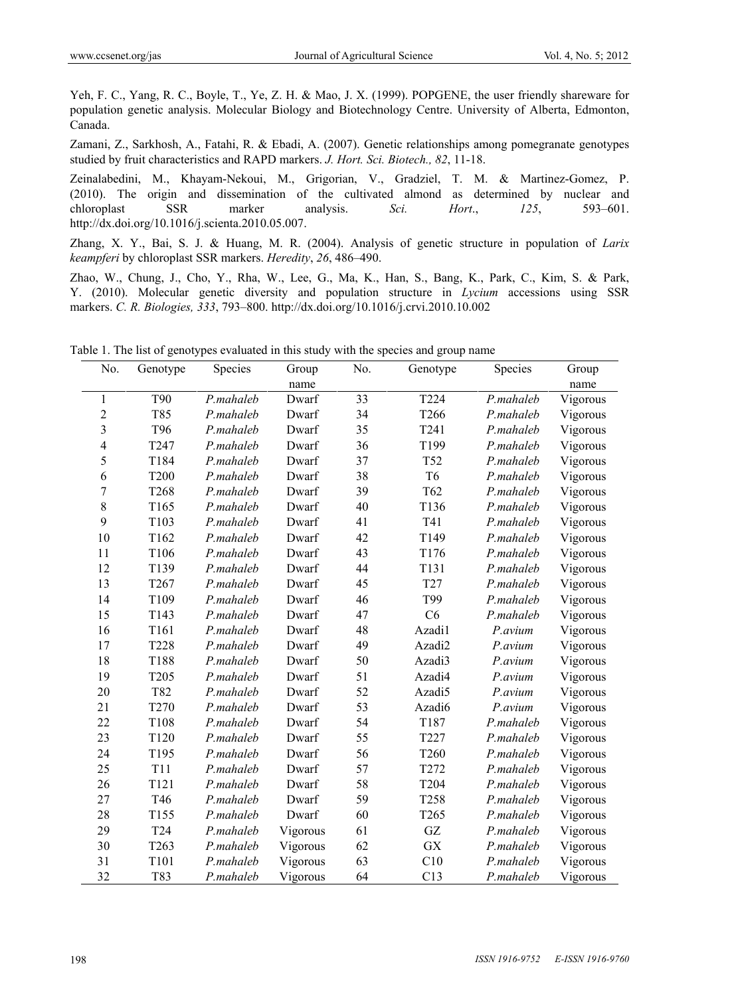Yeh, F. C., Yang, R. C., Boyle, T., Ye, Z. H. & Mao, J. X. (1999). POPGENE, the user friendly shareware for population genetic analysis. Molecular Biology and Biotechnology Centre. University of Alberta, Edmonton, Canada.

Zamani, Z., Sarkhosh, A., Fatahi, R. & Ebadi, A. (2007). Genetic relationships among pomegranate genotypes studied by fruit characteristics and RAPD markers. *J. Hort. Sci. Biotech., 82*, 11-18.

Zeinalabedini, M., Khayam-Nekoui, M., Grigorian, V., Gradziel, T. M. & Martinez-Gomez, P. (2010). The origin and dissemination of the cultivated almond as determined by nuclear and chloroplast SSR marker analysis. *Sci. Hort*., *125*, 593–601. http://dx.doi.org/10.1016/j.scienta.2010.05.007.

Zhang, X. Y., Bai, S. J. & Huang, M. R. (2004). Analysis of genetic structure in population of *Larix keampferi* by chloroplast SSR markers. *Heredity*, *26*, 486–490.

Zhao, W., Chung, J., Cho, Y., Rha, W., Lee, G., Ma, K., Han, S., Bang, K., Park, C., Kim, S. & Park, Y. (2010). Molecular genetic diversity and population structure in *Lycium* accessions using SSR markers. *C. R. Biologies, 333*, 793–800. http://dx.doi.org/10.1016/j.crvi.2010.10.002

| No.                     | Genotype         | Species   | Group    | No. | Genotype            | Species   | Group    |
|-------------------------|------------------|-----------|----------|-----|---------------------|-----------|----------|
|                         |                  |           | name     |     |                     |           | name     |
| 1                       | <b>T90</b>       | P.mahaleb | Dwarf    | 33  | T224                | P.mahaleb | Vigorous |
| $\overline{c}$          | T85              | P.mahaleb | Dwarf    | 34  | T266                | P.mahaleb | Vigorous |
| 3                       | T96              | P.mahaleb | Dwarf    | 35  | T241                | P.mahaleb | Vigorous |
| $\overline{\mathbf{4}}$ | T247             | P.mahaleb | Dwarf    | 36  | T199                | P.mahaleb | Vigorous |
| 5                       | T184             | P.mahaleb | Dwarf    | 37  | T52                 | P.mahaleb | Vigorous |
| 6                       | <b>T200</b>      | P.mahaleb | Dwarf    | 38  | T <sub>6</sub>      | P.mahaleb | Vigorous |
| $\overline{7}$          | T268             | P.mahaleb | Dwarf    | 39  | T62                 | P.mahaleb | Vigorous |
| 8                       | T165             | P.mahaleb | Dwarf    | 40  | T136                | P.mahaleb | Vigorous |
| 9                       | T103             | P.mahaleb | Dwarf    | 41  | T41                 | P.mahaleb | Vigorous |
| 10                      | T162             | P.mahaleb | Dwarf    | 42  | T149                | P.mahaleb | Vigorous |
| 11                      | T106             | P.mahaleb | Dwarf    | 43  | T176                | P.mahaleb | Vigorous |
| 12                      | T139             | P.mahaleb | Dwarf    | 44  | T131                | P.mahaleb | Vigorous |
| 13                      | T267             | P.mahaleb | Dwarf    | 45  | T <sub>27</sub>     | P.mahaleb | Vigorous |
| 14                      | T109             | P.mahaleb | Dwarf    | 46  | T99                 | P.mahaleb | Vigorous |
| 15                      | T143             | P.mahaleb | Dwarf    | 47  | C6                  | P.mahaleb | Vigorous |
| 16                      | T161             | P.mahaleb | Dwarf    | 48  | Azadi1              | P.avium   | Vigorous |
| 17                      | <b>T228</b>      | P.mahaleb | Dwarf    | 49  | Azadi2              | P.avium   | Vigorous |
| 18                      | T188             | P.mahaleb | Dwarf    | 50  | Azadi3              | P.avium   | Vigorous |
| 19                      | T205             | P.mahaleb | Dwarf    | 51  | Azadi4              | P.avium   | Vigorous |
| 20                      | T82              | P.mahaleb | Dwarf    | 52  | Azadi5              | P.avium   | Vigorous |
| 21                      | T <sub>270</sub> | P.mahaleb | Dwarf    | 53  | Azadi6              | P.avium   | Vigorous |
| 22                      | T108             | P.mahaleb | Dwarf    | 54  | T187                | P.mahaleb | Vigorous |
| 23                      | T120             | P.mahaleb | Dwarf    | 55  | T227                | P.mahaleb | Vigorous |
| 24                      | T195             | P.mahaleb | Dwarf    | 56  | T260                | P.mahaleb | Vigorous |
| 25                      | <b>T11</b>       | P.mahaleb | Dwarf    | 57  | T272                | P.mahaleb | Vigorous |
| 26                      | T121             | P.mahaleb | Dwarf    | 58  | T204                | P.mahaleb | Vigorous |
| 27                      | T46              | P.mahaleb | Dwarf    | 59  | T258                | P.mahaleb | Vigorous |
| 28                      | T155             | P.mahaleb | Dwarf    | 60  | T265                | P.mahaleb | Vigorous |
| 29                      | T <sub>24</sub>  | P.mahaleb | Vigorous | 61  | $\operatorname{GZ}$ | P.mahaleb | Vigorous |
| 30                      | T <sub>263</sub> | P.mahaleb | Vigorous | 62  | <b>GX</b>           | P.mahaleb | Vigorous |
| 31                      | T101             | P.mahaleb | Vigorous | 63  | C10                 | P.mahaleb | Vigorous |
| 32                      | T83              | P.mahaleb | Vigorous | 64  | C13                 | P.mahaleb | Vigorous |

Table 1. The list of genotypes evaluated in this study with the species and group name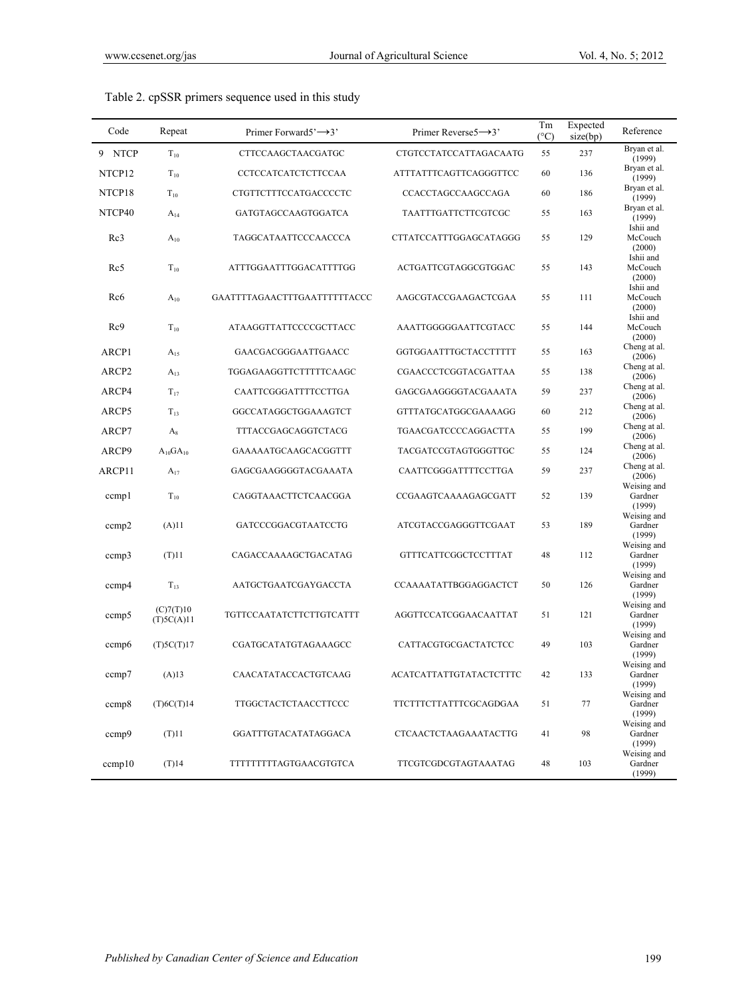| Code              | Repeat                  | Primer Forward5 $\rightarrow$ 3' | Primer Reverse5 $\rightarrow$ 3' | Tm<br>$(^{\circ}C)$ | Expected<br>size(bp) | Reference                        |
|-------------------|-------------------------|----------------------------------|----------------------------------|---------------------|----------------------|----------------------------------|
| 9 NTCP            | $T_{10}$                | CTTCCAAGCTAACGATGC               | CTGTCCTATCCATTAGACAATG           | 55                  | 237                  | Bryan et al.<br>(1999)           |
| NTCP12            | $T_{10}$                | CCTCCATCATCTCTTCCAA              | ATTTATTTCAGTTCAGGGTTCC           | 60                  | 136                  | Bryan et al.<br>(1999)           |
| NTCP18            | $T_{10}$                | CTGTTCTTTCCATGACCCCTC            | CCACCTAGCCAAGCCAGA               | 60                  | 186                  | Bryan et al.<br>(1999)           |
| NTCP40            | $A_{14}$                | GATGTAGCCAAGTGGATCA              | TAATTTGATTCTTCGTCGC              | 55                  | 163                  | Bryan et al.<br>(1999)           |
| Rc3               | $A_{10}$                | TAGGCATAATTCCCAACCCA             | CTTATCCATTTGGAGCATAGGG           | 55                  | 129                  | Ishii and<br>McCouch<br>(2000)   |
| Rc5               | $T_{10}$                | ATTTGGAATTTGGACATTTTGG           | ACTGATTCGTAGGCGTGGAC             | 55                  | 143                  | Ishii and<br>McCouch<br>(2000)   |
| Rc <sub>6</sub>   | $A_{10}$                | GAATTTTAGAACTTTGAATTTTTTACCC     | AAGCGTACCGAAGACTCGAA             | 55                  | 111                  | Ishii and<br>McCouch<br>(2000)   |
| Rc9               | $T_{10}$                | ATAAGGTTATTCCCCGCTTACC           | AAATTGGGGGAATTCGTACC             | 55                  | 144                  | Ishii and<br>McCouch<br>(2000)   |
| ARCP1             | $A_{15}$                | GAACGACGGGAATTGAACC              | GGTGGAATTTGCTACCTTTTT            | 55                  | 163                  | Cheng at al.<br>(2006)           |
| ARCP <sub>2</sub> | $A_{13}$                | TGGAGAAGGTTCTTTTTCAAGC           | CGAACCCTCGGTACGATTAA             | 55                  | 138                  | Cheng at al.<br>(2006)           |
| ARCP4             | $T_{17}$                | CAATTCGGGATTTTCCTTGA             | GAGCGAAGGGGTACGAAATA             | 59                  | 237                  | Cheng at al.<br>(2006)           |
| ARCP5             | $T_{13}$                | GGCCATAGGCTGGAAAGTCT             | GTTTATGCATGGCGAAAAGG             | 60                  | 212                  | Cheng at al.<br>(2006)           |
| ARCP7             | $A_8$                   | TTTACCGAGCAGGTCTACG              | TGAACGATCCCCAGGACTTA             | 55                  | 199                  | Cheng at al.<br>(2006)           |
| ARCP9             | $A_{10}GA_{10}$         | GAAAAATGCAAGCACGGTTT             | TACGATCCGTAGTGGGTTGC             | 55                  | 124                  | Cheng at al.<br>(2006)           |
| ARCP11            | $A_{17}$                | GAGCGAAGGGGTACGAAATA             | CAATTCGGGATTTTCCTTGA             | 59                  | 237                  | Cheng at al.<br>(2006)           |
| ccmpl             | $T_{10}$                | CAGGTAAACTTCTCAACGGA             | CCGAAGTCAAAAGAGCGATT             | 52                  | 139                  | Weising and<br>Gardner<br>(1999) |
| ccmp2             | (A)11                   | GATCCCGGACGTAATCCTG              | ATCGTACCGAGGGTTCGAAT             | 53                  | 189                  | Weising and<br>Gardner<br>(1999) |
| ccmp3             | $(T)$ <sup>11</sup>     | CAGACCAAAAGCTGACATAG             | GTTTCATTCGGCTCCTTTAT             | 48                  | 112                  | Weising and<br>Gardner<br>(1999) |
| ccmp4             | $T_{13}$                | AATGCTGAATCGAYGACCTA             | CCAAAATATTBGGAGGACTCT            | 50                  | 126                  | Weising and<br>Gardner<br>(1999) |
| cemp <sub>5</sub> | (C)7(T)10<br>(T)5C(A)11 | TGTTCCAATATCTTCTTGTCATTT         | AGGTTCCATCGGAACAATTAT            | 51                  | 121                  | Weising and<br>Gardner<br>(1999) |
| ccmp6             | (T)5C(T)17              | CGATGCATATGTAGAAAGCC             | CATTACGTGCGACTATCTCC             | 49                  | 103                  | Weising and<br>Gardner<br>(1999) |
| ccmp7             | (A)13                   | CAACATATACCACTGTCAAG             | ACATCATTATTGTATACTCTTTC          | 42                  | 133                  | Weising and<br>Gardner<br>(1999) |
| ccmp8             | (T)6C(T)14              | TTGGCTACTCTAACCTTCCC             | TTCTTTCTTATTTCGCAGDGAA           | 51                  | 77                   | Weising and<br>Gardner<br>(1999) |
| ccmp9             | $(T)$ 11                | GGATTTGTACATATAGGACA             | <b>CTCAACTCTAAGAAATACTTG</b>     | 41                  | 98                   | Weising and<br>Gardner<br>(1999) |
| ccmp10            | $(T)$ 14                | TTTTTTTTAGTGAACGTGTCA            | TTCGTCGDCGTAGTAAATAG             | 48                  | 103                  | Weising and<br>Gardner<br>(1999) |

Table 2. cpSSR primers sequence used in this study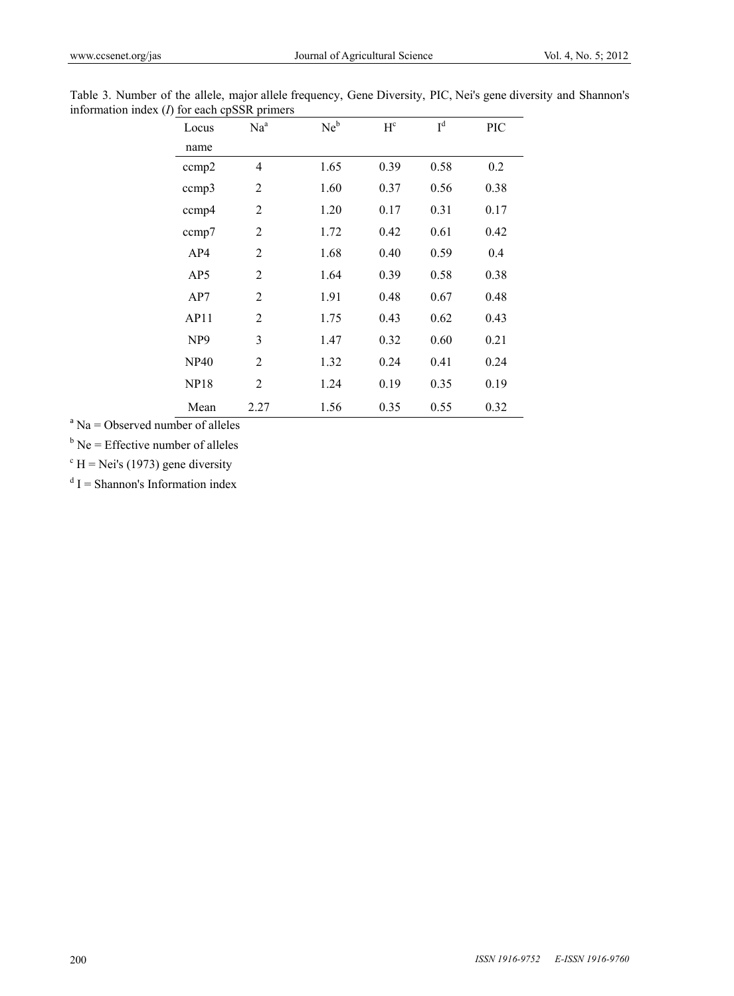| Locus           | Na <sup>a</sup> | $Ne^b$ | $H^c$ | I <sup>d</sup> | PIC  |
|-----------------|-----------------|--------|-------|----------------|------|
| name            |                 |        |       |                |      |
| ccmp2           | $\overline{4}$  | 1.65   | 0.39  | 0.58           | 0.2  |
| ccmp3           | $\overline{2}$  | 1.60   | 0.37  | 0.56           | 0.38 |
| ccmp4           | $\overline{2}$  | 1.20   | 0.17  | 0.31           | 0.17 |
| ccmp7           | $\overline{2}$  | 1.72   | 0.42  | 0.61           | 0.42 |
| AP4             | $\overline{2}$  | 1.68   | 0.40  | 0.59           | 0.4  |
| AP5             | $\overline{2}$  | 1.64   | 0.39  | 0.58           | 0.38 |
| AP7             | $\overline{2}$  | 1.91   | 0.48  | 0.67           | 0.48 |
| AP11            | $\overline{2}$  | 1.75   | 0.43  | 0.62           | 0.43 |
| NP <sub>9</sub> | 3               | 1.47   | 0.32  | 0.60           | 0.21 |
| <b>NP40</b>     | $\overline{c}$  | 1.32   | 0.24  | 0.41           | 0.24 |
| <b>NP18</b>     | $\overline{2}$  | 1.24   | 0.19  | 0.35           | 0.19 |
| Mean            | 2.27            | 1.56   | 0.35  | 0.55           | 0.32 |

Table 3. Number of the allele, major allele frequency, Gene Diversity, PIC, Nei's gene diversity and Shannon's information index (*I*) for each cpSSR primers

 $a<sup>a</sup>$  Na = Observed number of alleles

 $b$  Ne = Effective number of alleles

 $\mathrm{c}$  H = Nei's (1973) gene diversity

 $dI$  = Shannon's Information index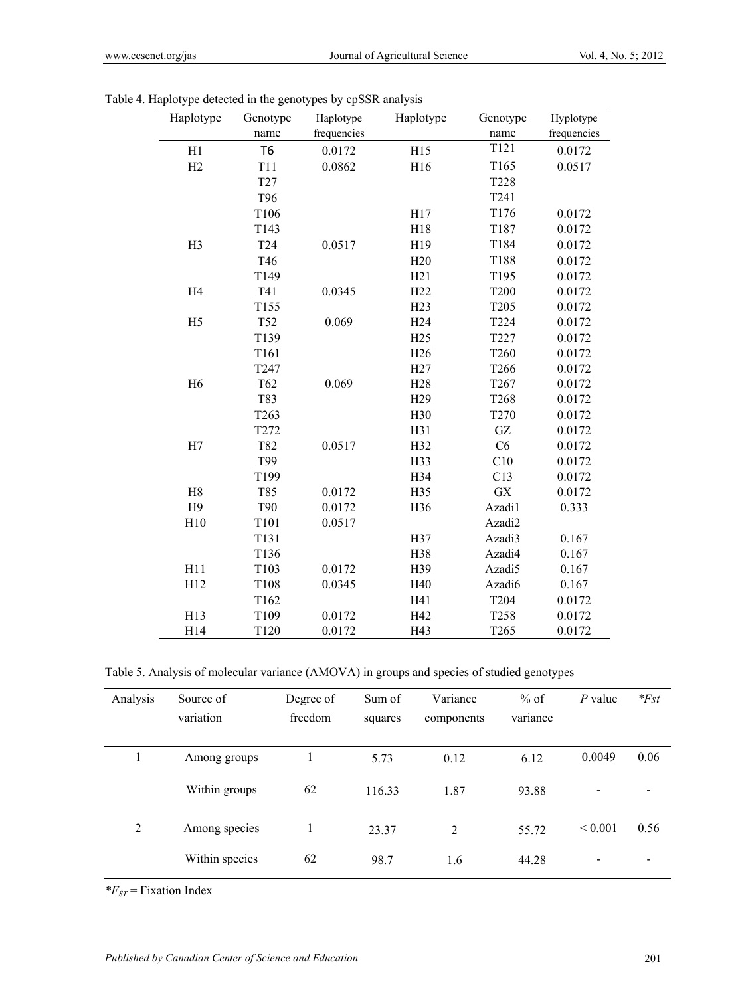| Haplotype      | Genotype         | Haplotype   | Haplotype       | Genotype         | Hyplotype   |
|----------------|------------------|-------------|-----------------|------------------|-------------|
|                | name             | frequencies |                 | name             | frequencies |
| H1             | T <sub>6</sub>   | 0.0172      | H15             | T121             | 0.0172      |
| H2             | <b>T11</b>       | 0.0862      | H16             | T165             | 0.0517      |
|                | T27              |             |                 | <b>T228</b>      |             |
|                | T96              |             |                 | T241             |             |
|                | T106             |             | H17             | T176             | 0.0172      |
|                | T143             |             | H18             | T187             | 0.0172      |
| H <sub>3</sub> | T <sub>24</sub>  | 0.0517      | H19             | T184             | 0.0172      |
|                | T46              |             | H20             | T188             | 0.0172      |
|                | T149             |             | H21             | T195             | 0.0172      |
| H <sub>4</sub> | T41              | 0.0345      | H <sub>22</sub> | <b>T200</b>      | 0.0172      |
|                | T155             |             | H23             | T <sub>205</sub> | 0.0172      |
| H <sub>5</sub> | T52              | 0.069       | H <sub>24</sub> | T224             | 0.0172      |
|                | T139             |             | H25             | T227             | 0.0172      |
|                | T161             |             | H <sub>26</sub> | T260             | 0.0172      |
|                | T247             |             | H27             | T266             | 0.0172      |
| H <sub>6</sub> | T62              | 0.069       | H <sub>28</sub> | T267             | 0.0172      |
|                | T83              |             | H <sub>29</sub> | T268             | 0.0172      |
|                | T <sub>263</sub> |             | H30             | T270             | 0.0172      |
|                | T272             |             | H31             | GZ               | 0.0172      |
| H7             | T82              | 0.0517      | H32             | C6               | 0.0172      |
|                | T99              |             | H33             | C10              | 0.0172      |
|                | T199             |             | H34             | C13              | 0.0172      |
| H8             | T85              | 0.0172      | H35             | GX               | 0.0172      |
| H <sub>9</sub> | <b>T90</b>       | 0.0172      | H36             | Azadi1           | 0.333       |
| H10            | T101             | 0.0517      |                 | Azadi2           |             |
|                | T131             |             | H37             | Azadi3           | 0.167       |
|                | T136             |             | H38             | Azadi4           | 0.167       |
| H11            | T103             | 0.0172      | H39             | Azadi5           | 0.167       |
| H12            | T108             | 0.0345      | H40             | Azadi6           | 0.167       |
|                | T162             |             | H41             | T204             | 0.0172      |
| H13            | T109             | 0.0172      | H42             | T258             | 0.0172      |
| H14            | T120             | 0.0172      | H43             | T <sub>265</sub> | 0.0172      |

Table 4. Haplotype detected in the genotypes by cpSSR analysis

Table 5. Analysis of molecular variance (AMOVA) in groups and species of studied genotypes

| Analysis | Source of<br>variation | Degree of<br>freedom | Sum of<br>squares | Variance<br>components | $%$ of<br>variance | $P$ value   | $*Fst$ |
|----------|------------------------|----------------------|-------------------|------------------------|--------------------|-------------|--------|
|          | Among groups           |                      | 5.73              | 0.12                   | 6.12               | 0.0049      | 0.06   |
|          | Within groups          | 62                   | 116.33            | 1.87                   | 93.88              |             |        |
| 2        | Among species          |                      | 23.37             | 2                      | 55.72              | ${}< 0.001$ | 0.56   |
|          | Within species         | 62                   | 98.7              | 1.6                    | 44.28              |             |        |

*\*FST* = Fixation Index